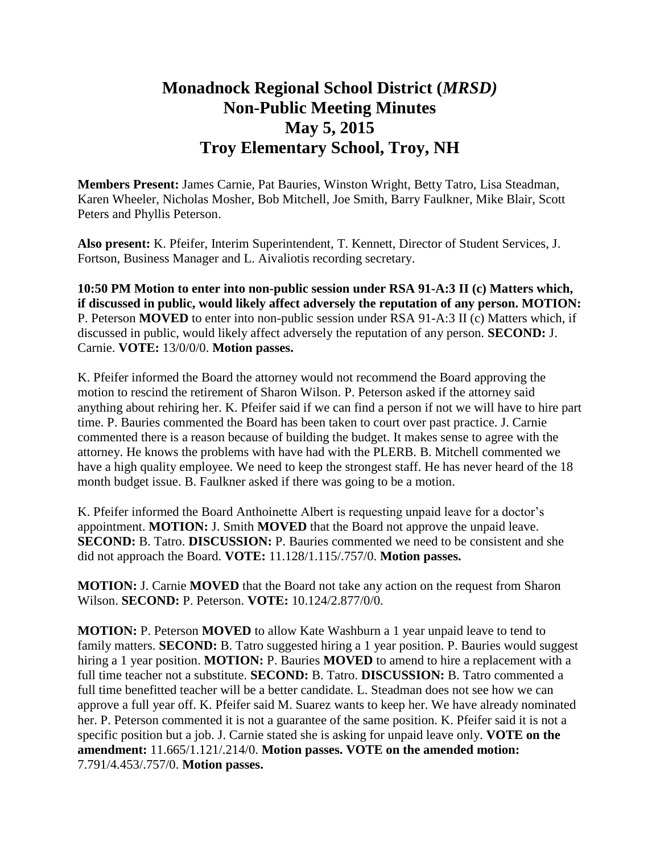## **Monadnock Regional School District (***MRSD)* **Non-Public Meeting Minutes May 5, 2015 Troy Elementary School, Troy, NH**

**Members Present:** James Carnie, Pat Bauries, Winston Wright, Betty Tatro, Lisa Steadman, Karen Wheeler, Nicholas Mosher, Bob Mitchell, Joe Smith, Barry Faulkner, Mike Blair, Scott Peters and Phyllis Peterson.

**Also present:** K. Pfeifer, Interim Superintendent, T. Kennett, Director of Student Services, J. Fortson, Business Manager and L. Aivaliotis recording secretary.

**10:50 PM Motion to enter into non-public session under RSA 91-A:3 II (c) Matters which, if discussed in public, would likely affect adversely the reputation of any person. MOTION:**  P. Peterson **MOVED** to enter into non-public session under RSA 91-A:3 II (c) Matters which, if discussed in public, would likely affect adversely the reputation of any person. **SECOND:** J. Carnie. **VOTE:** 13/0/0/0. **Motion passes.**

K. Pfeifer informed the Board the attorney would not recommend the Board approving the motion to rescind the retirement of Sharon Wilson. P. Peterson asked if the attorney said anything about rehiring her. K. Pfeifer said if we can find a person if not we will have to hire part time. P. Bauries commented the Board has been taken to court over past practice. J. Carnie commented there is a reason because of building the budget. It makes sense to agree with the attorney. He knows the problems with have had with the PLERB. B. Mitchell commented we have a high quality employee. We need to keep the strongest staff. He has never heard of the 18 month budget issue. B. Faulkner asked if there was going to be a motion.

K. Pfeifer informed the Board Anthoinette Albert is requesting unpaid leave for a doctor's appointment. **MOTION:** J. Smith **MOVED** that the Board not approve the unpaid leave. **SECOND:** B. Tatro. **DISCUSSION:** P. Bauries commented we need to be consistent and she did not approach the Board. **VOTE:** 11.128/1.115/.757/0. **Motion passes.** 

**MOTION:** J. Carnie **MOVED** that the Board not take any action on the request from Sharon Wilson. **SECOND:** P. Peterson. **VOTE:** 10.124/2.877/0/0.

**MOTION:** P. Peterson **MOVED** to allow Kate Washburn a 1 year unpaid leave to tend to family matters. **SECOND:** B. Tatro suggested hiring a 1 year position. P. Bauries would suggest hiring a 1 year position. **MOTION:** P. Bauries **MOVED** to amend to hire a replacement with a full time teacher not a substitute. **SECOND:** B. Tatro. **DISCUSSION:** B. Tatro commented a full time benefitted teacher will be a better candidate. L. Steadman does not see how we can approve a full year off. K. Pfeifer said M. Suarez wants to keep her. We have already nominated her. P. Peterson commented it is not a guarantee of the same position. K. Pfeifer said it is not a specific position but a job. J. Carnie stated she is asking for unpaid leave only. **VOTE on the amendment:** 11.665/1.121/.214/0. **Motion passes. VOTE on the amended motion:**  7.791/4.453/.757/0. **Motion passes.**